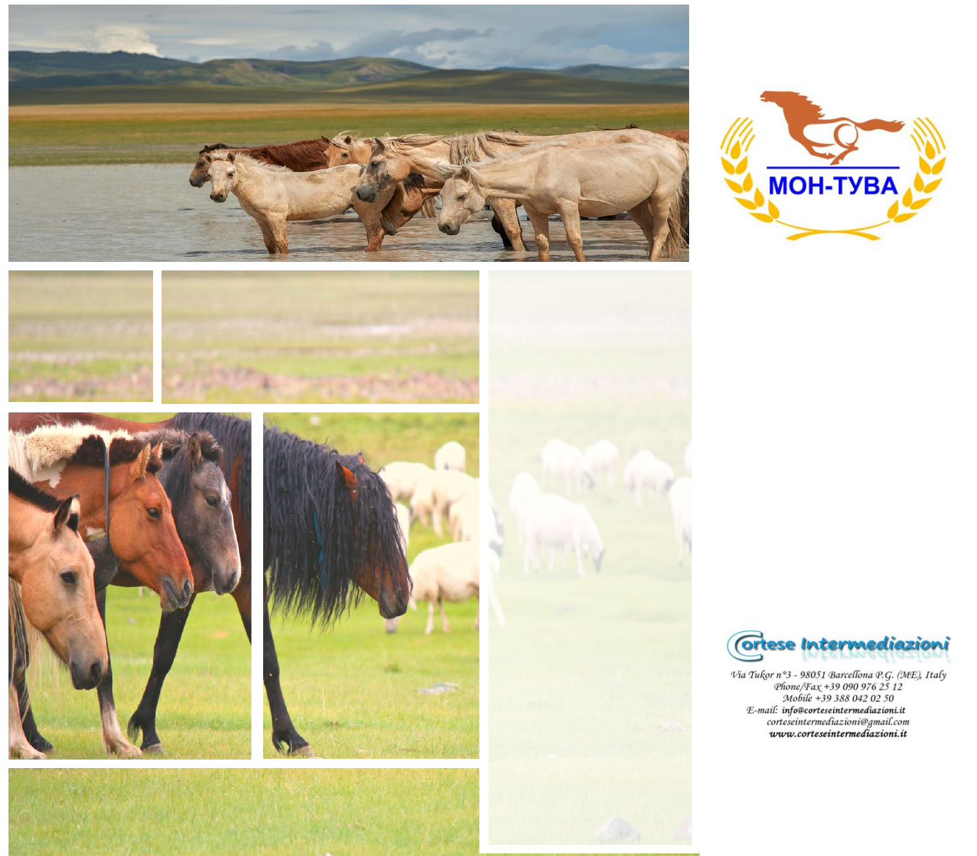













 $\begin{array}{ll} \mathcal{V}ia\; Tu \& r\circ 3 - 98051\; Barcellona\; P. G. \;(ME),\; Italy \\ \mathcal{P}line/\text{F}ax + 39\; 090\; 976\; 25\; 12 \\ \mathcal{M}obile + 39\; 388\; 042\; 02\; 50 \\ \textit{E-mail: info@cortese intermediazioni:} \\ \textit{cortese intermediazioni:} \\ \textit{www.cortese intermediazioni:} \\ \textit{www.cortese intermediazioni:} \\ \end{array}$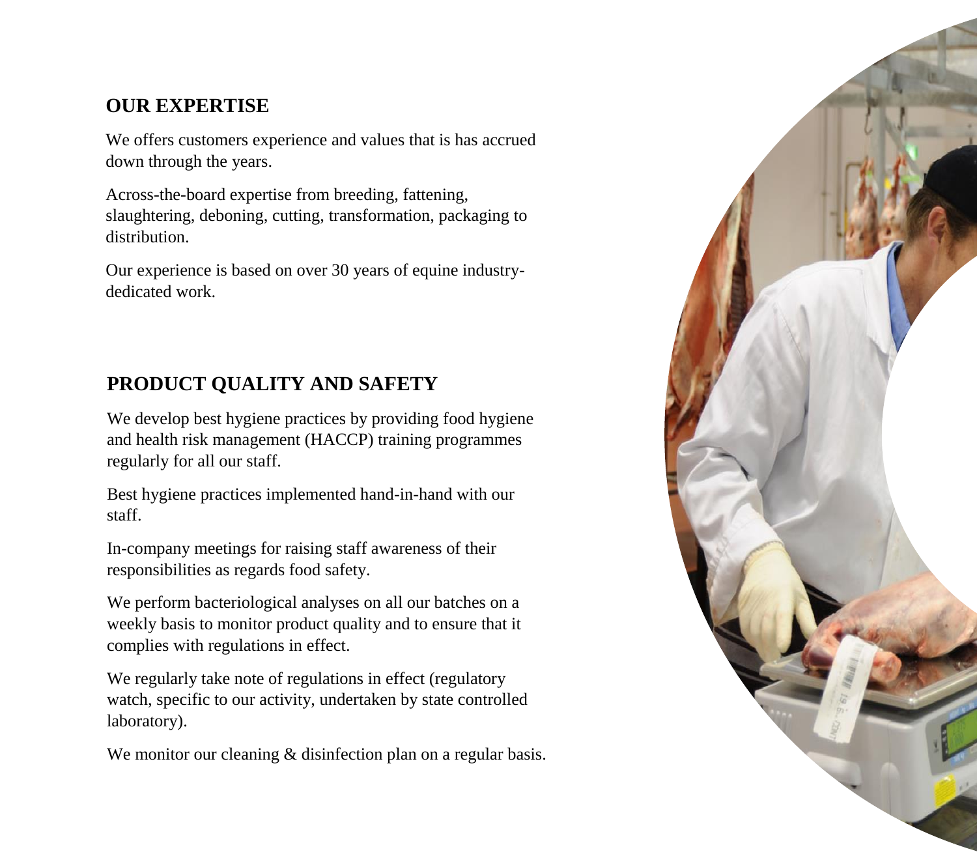# **OUR EXPERTISE**

We offers customers experience and values that is has accrued down through the years.

Across-the-board expertise from breeding, fattening, slaughtering, deboning, cutting, transformation, packaging to distribution.

Our experience is based on over 30 years of equine industrydedicated work.

# **PRODUCT QUALITY AND SAFETY**

We develop best hygiene practices by providing food hygiene and health risk management (HACCP) training programmes regularly for all our staff.

Best hygiene practices implemented hand-in-hand with our staff.

In-company meetings for raising staff awareness of their responsibilities as regards food safety.

We perform bacteriological analyses on all our batches on a weekly basis to monitor product quality and to ensure that it complies with regulations in effect.

We regularly take note of regulations in effect (regulatory watch, specific to our activity, undertaken by state controlled laboratory).

We monitor our cleaning & disinfection plan on a regular basis.

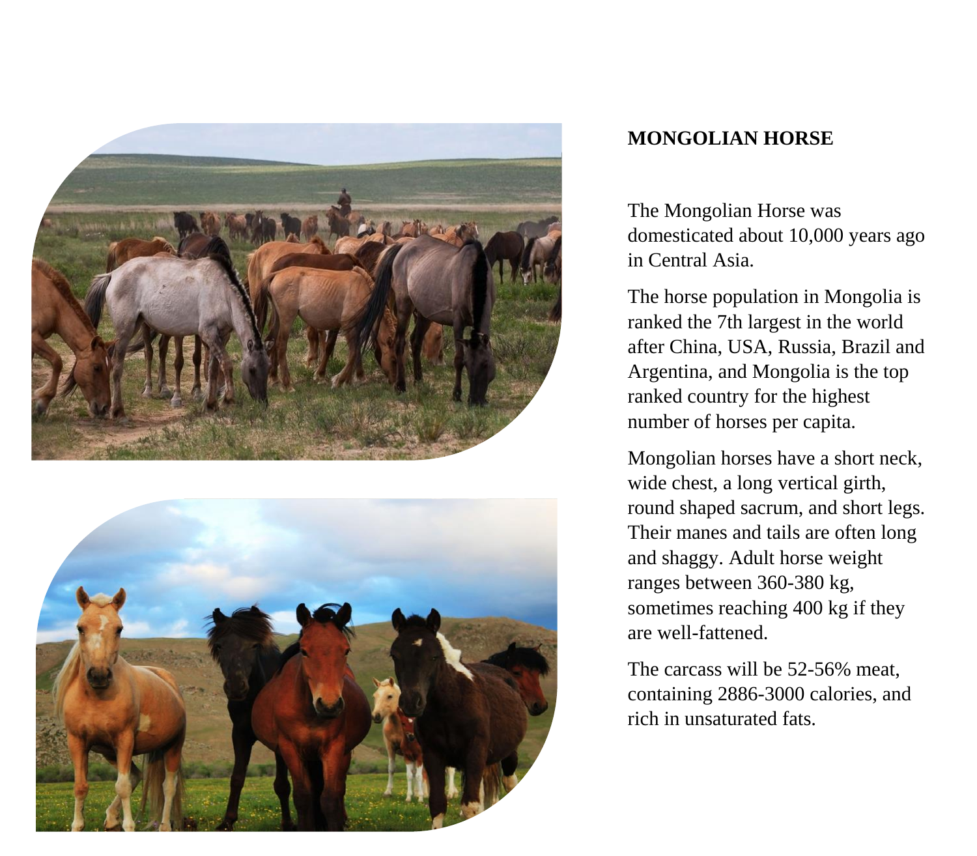



## **MONGOLIAN HORSE**

The Mongolian Horse was domesticated about 10,000 years ago in Central Asia.

The horse population in Mongolia is ranked the 7th largest in the world after China, USA, Russia, Brazil and Argentina, and Mongolia is the top ranked country for the highest number of horses per capita.

Mongolian horses have a short neck, wide chest, a long vertical girth, round shaped sacrum, and short legs. Their manes and tails are often long and shaggy. Adult horse weight ranges between 360-380 kg, sometimes reaching 400 kg if they are well-fattened.

The carcass will be 52-56% meat, containing 2886-3000 calories, and rich in unsaturated fats.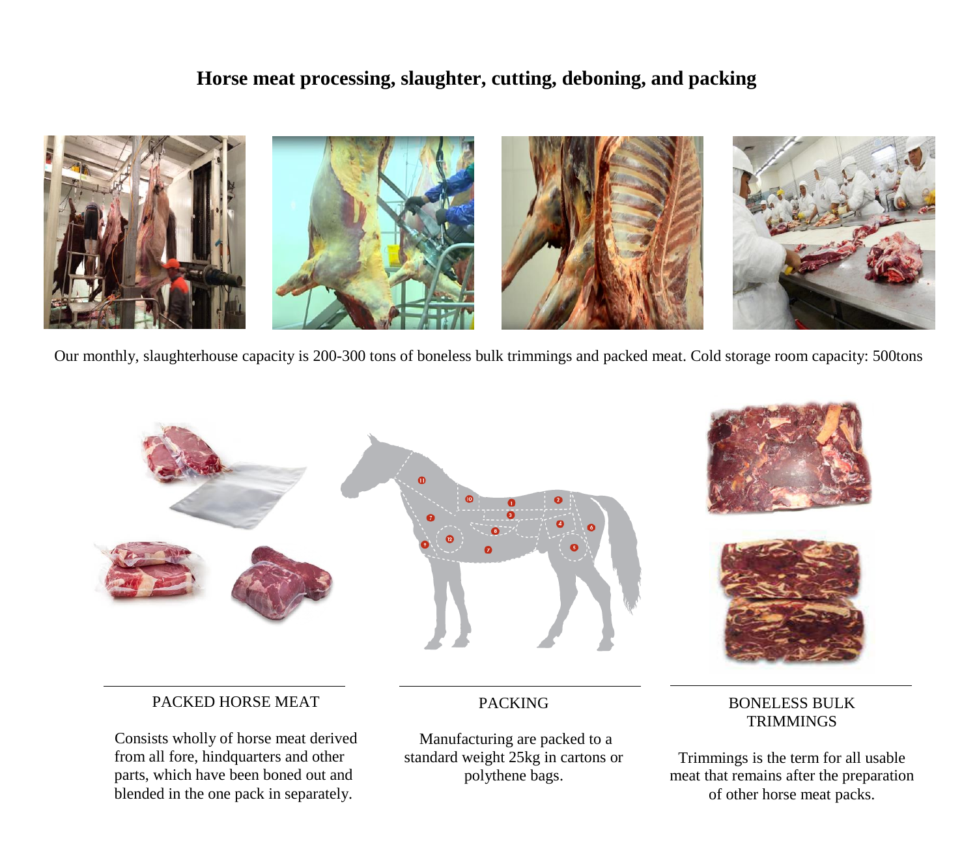### **Horse meat processing, slaughter, cutting, deboning, and packing**



Our monthly, slaughterhouse capacity is 200-300 tons of boneless bulk trimmings and packed meat. Cold storage room capacity: 500tons





### PACKED HORSE MEAT

Consists wholly of horse meat derived from all fore, hindquarters and other parts, which have been boned out and blended in the one pack in separately.

### PACKING

Manufacturing are packed to a standard weight 25kg in cartons or polythene bags.

### BONELESS BULK **TRIMMINGS**

Trimmings is the term for all usable meat that remains after the preparation of other horse meat packs.